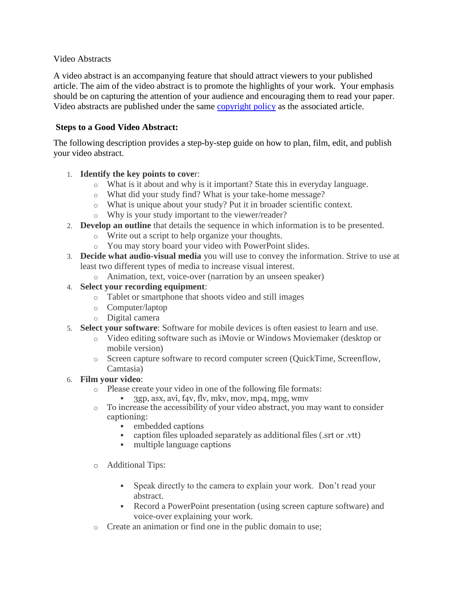### Video Abstracts

A video abstract is an accompanying feature that should attract viewers to your published article. The aim of the video abstract is to promote the highlights of your work. Your emphasis should be on capturing the attention of your audience and encouraging them to read your paper. Video abstracts are published under the same [copyright policy](https://mds.marshall.edu/mjm/policies.html#copyright) as the associated article.

### **Steps to a Good Video Abstract:**

The following description provides a step-by-step guide on how to plan, film, edit, and publish your video abstract.

## 1. **Identify the key points to cove**r:

- o What is it about and why is it important? State this in everyday language.
- o What did your study find? What is your take-home message?
- o What is unique about your study? Put it in broader scientific context.
- o Why is your study important to the viewer/reader?
- 2. **Develop an outline** that details the sequence in which information is to be presented.
	- o Write out a script to help organize your thoughts.
	- o You may story board your video with PowerPoint slides.
- 3. **Decide what audio-visual media** you will use to convey the information. Strive to use at least two different types of media to increase visual interest.
	- o Animation, text, voice-over (narration by an unseen speaker)

#### 4. **Select your recording equipment**:

- o Tablet or smartphone that shoots video and still images
- o Computer/laptop
- o Digital camera
- 5. **Select your software**: Software for mobile devices is often easiest to learn and use.
	- o Video editing software such as iMovie or Windows Moviemaker (desktop or mobile version)
	- o Screen capture software to record computer screen (QuickTime, Screenflow, Camtasia)

#### 6. **Film your video**:

- o Please create your video in one of the following file formats:
	- $\blacksquare$  3gp, asx, avi, f4v, flv, mkv, mov, mp4, mpg, wmv
- o To increase the accessibility of your video abstract, you may want to consider captioning:
	- embedded captions
	- caption files uploaded separately as additional files (.srt or .vtt)
	- multiple language captions
- o Additional Tips:
	- Speak directly to the camera to explain your work. Don't read your abstract.
	- Record a PowerPoint presentation (using screen capture software) and voice-over explaining your work.
- o Create an animation or find one in the public domain to use;